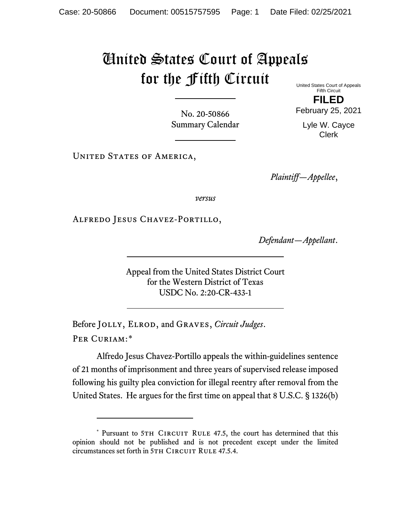## United States Court of Appeals for the Fifth Circuit

United States Court of Appeals Fifth Circuit

No. 20-50866 Summary Calendar **FILED**

February 25, 2021

Lyle W. Cayce Clerk

UNITED STATES OF AMERICA,

*Plaintiff—Appellee*,

*versus*

Alfredo Jesus Chavez-Portillo,

*Defendant—Appellant*.

Appeal from the United States District Court for the Western District of Texas USDC No. 2:20-CR-433-1

Before Jolly, Elrod, and Graves, *Circuit Judges*. Per Curiam:[\\*](#page-0-0)

Alfredo Jesus Chavez-Portillo appeals the within-guidelines sentence of 21 months of imprisonment and three years of supervised release imposed following his guilty plea conviction for illegal reentry after removal from the United States. He argues for the first time on appeal that 8 U.S.C. § 1326(b)

<span id="page-0-0"></span><sup>\*</sup> Pursuant to 5TH CIRCUIT RULE 47.5, the court has determined that this opinion should not be published and is not precedent except under the limited circumstances set forth in 5TH CIRCUIT RULE 47.5.4.